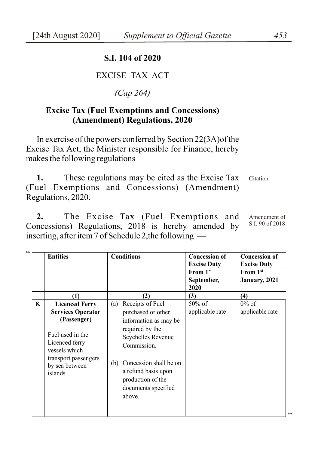#### **S.I. 104 of 2020**

## EXCISE TAX ACT

### *(Cap 264)*

#### **Excise Tax (Fuel Exemptions and Concessions) (Amendment) Regulations, 2020**

In exercise of the powers conferred by Section 22(3A)of the Excise Tax Act, the Minister responsible for Finance, hereby makes the following regulations —

**1.** These regulations may be cited as the Excise Tax (Fuel Exemptions and Concessions) (Amendment) Regulations, 2020. Citation

**2.** The Excise Tax (Fuel Exemptions and Concessions) Regulations, 2018 is hereby amended by inserting, after item 7 of Schedule 2,the following — Amendment of S.I. 90 of 2018

| (1)<br>8.<br><b>Licenced Ferry</b>                                                                                                                   | <b>Conditions</b>                                                                                                                                                                                                                            | <b>Concession of</b><br><b>Excise Duty</b><br>From $1st$<br>September,<br>2020 | <b>Concession of</b><br><b>Excise Duty</b><br>From 1 <sup>st</sup><br>January, 2021 |
|------------------------------------------------------------------------------------------------------------------------------------------------------|----------------------------------------------------------------------------------------------------------------------------------------------------------------------------------------------------------------------------------------------|--------------------------------------------------------------------------------|-------------------------------------------------------------------------------------|
|                                                                                                                                                      | (2)                                                                                                                                                                                                                                          | (3)                                                                            | (4)                                                                                 |
| <b>Services Operator</b><br>(Passenger)<br>Fuel used in the<br>Licenced ferry<br>vessels which<br>transport passengers<br>by sea between<br>islands. | Receipts of Fuel<br>(a)<br>purchased or other<br>information as may be<br>required by the<br>Seychelles Revenue<br>Commission.<br>Concession shall be on<br>(b)<br>a refund basis upon<br>production of the<br>documents specified<br>above. | 50% of<br>applicable rate                                                      | $0\%$ of<br>applicable rate                                                         |